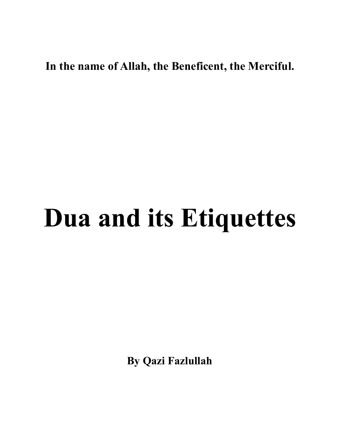## **In the name of Allah, the Beneficent, the Merciful.**

## **Dua and its Etiquettes**

**By Qazi Fazlullah**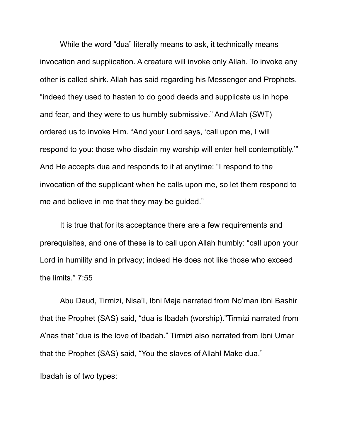While the word "dua" literally means to ask, it technically means invocation and supplication. A creature will invoke only Allah. To invoke any other is called shirk. Allah has said regarding his Messenger and Prophets, "indeed they used to hasten to do good deeds and supplicate us in hope and fear, and they were to us humbly submissive." And Allah (SWT) ordered us to invoke Him. "And your Lord says, 'call upon me, I will respond to you: those who disdain my worship will enter hell contemptibly.'" And He accepts dua and responds to it at anytime: "I respond to the invocation of the supplicant when he calls upon me, so let them respond to me and believe in me that they may be guided."

It is true that for its acceptance there are a few requirements and prerequisites, and one of these is to call upon Allah humbly: "call upon your Lord in humility and in privacy; indeed He does not like those who exceed the limits." 7:55

Abu Daud, Tirmizi, Nisa'I, Ibni Maja narrated from No'man ibni Bashir that the Prophet (SAS) said, "dua is Ibadah (worship)."Tirmizi narrated from A'nas that "dua is the love of Ibadah." Tirmizi also narrated from Ibni Umar that the Prophet (SAS) said, "You the slaves of Allah! Make dua."

Ibadah is of two types: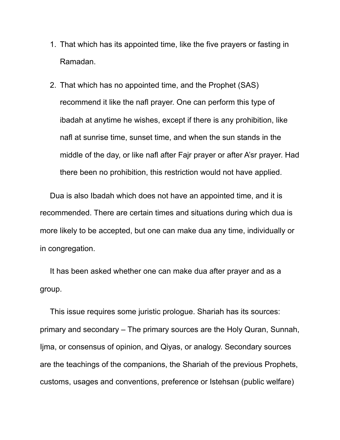- 1. That which has its appointed time, like the five prayers or fasting in Ramadan.
- 2. That which has no appointed time, and the Prophet (SAS) recommend it like the nafl prayer. One can perform this type of ibadah at anytime he wishes, except if there is any prohibition, like nafl at sunrise time, sunset time, and when the sun stands in the middle of the day, or like nafl after Fajr prayer or after A'sr prayer. Had there been no prohibition, this restriction would not have applied.

Dua is also Ibadah which does not have an appointed time, and it is recommended. There are certain times and situations during which dua is more likely to be accepted, but one can make dua any time, individually or in congregation.

It has been asked whether one can make dua after prayer and as a group.

This issue requires some juristic prologue. Shariah has its sources: primary and secondary – The primary sources are the Holy Quran, Sunnah, Ijma, or consensus of opinion, and Qiyas, or analogy. Secondary sources are the teachings of the companions, the Shariah of the previous Prophets, customs, usages and conventions, preference or Istehsan (public welfare)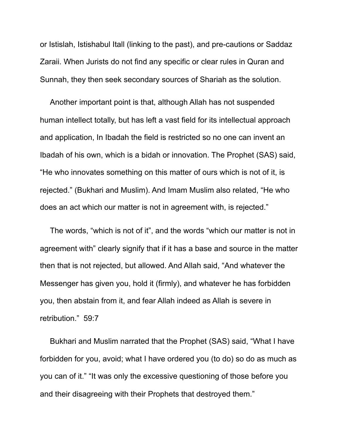or Istislah, Istishabul Itall (linking to the past), and pre-cautions or Saddaz Zaraii. When Jurists do not find any specific or clear rules in Quran and Sunnah, they then seek secondary sources of Shariah as the solution.

Another important point is that, although Allah has not suspended human intellect totally, but has left a vast field for its intellectual approach and application, In Ibadah the field is restricted so no one can invent an Ibadah of his own, which is a bidah or innovation. The Prophet (SAS) said, "He who innovates something on this matter of ours which is not of it, is rejected." (Bukhari and Muslim). And Imam Muslim also related, "He who does an act which our matter is not in agreement with, is rejected."

The words, "which is not of it", and the words "which our matter is not in agreement with" clearly signify that if it has a base and source in the matter then that is not rejected, but allowed. And Allah said, "And whatever the Messenger has given you, hold it (firmly), and whatever he has forbidden you, then abstain from it, and fear Allah indeed as Allah is severe in retribution." 59:7

Bukhari and Muslim narrated that the Prophet (SAS) said, "What I have forbidden for you, avoid; what I have ordered you (to do) so do as much as you can of it." "It was only the excessive questioning of those before you and their disagreeing with their Prophets that destroyed them."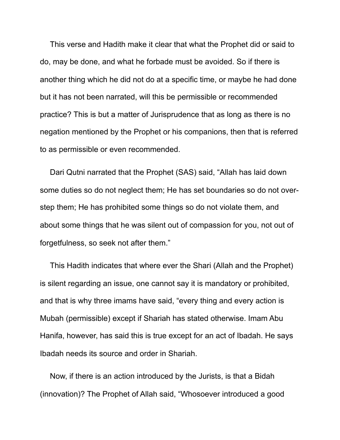This verse and Hadith make it clear that what the Prophet did or said to do, may be done, and what he forbade must be avoided. So if there is another thing which he did not do at a specific time, or maybe he had done but it has not been narrated, will this be permissible or recommended practice? This is but a matter of Jurisprudence that as long as there is no negation mentioned by the Prophet or his companions, then that is referred to as permissible or even recommended.

Dari Qutni narrated that the Prophet (SAS) said, "Allah has laid down some duties so do not neglect them; He has set boundaries so do not overstep them; He has prohibited some things so do not violate them, and about some things that he was silent out of compassion for you, not out of forgetfulness, so seek not after them."

This Hadith indicates that where ever the Shari (Allah and the Prophet) is silent regarding an issue, one cannot say it is mandatory or prohibited, and that is why three imams have said, "every thing and every action is Mubah (permissible) except if Shariah has stated otherwise. Imam Abu Hanifa, however, has said this is true except for an act of Ibadah. He says Ibadah needs its source and order in Shariah.

Now, if there is an action introduced by the Jurists, is that a Bidah (innovation)? The Prophet of Allah said, "Whosoever introduced a good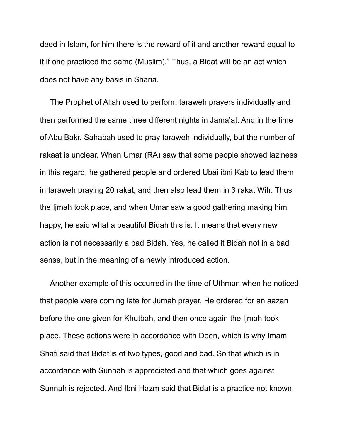deed in Islam, for him there is the reward of it and another reward equal to it if one practiced the same (Muslim)." Thus, a Bidat will be an act which does not have any basis in Sharia.

The Prophet of Allah used to perform taraweh prayers individually and then performed the same three different nights in Jama'at. And in the time of Abu Bakr, Sahabah used to pray taraweh individually, but the number of rakaat is unclear. When Umar (RA) saw that some people showed laziness in this regard, he gathered people and ordered Ubai ibni Kab to lead them in taraweh praying 20 rakat, and then also lead them in 3 rakat Witr. Thus the Ijmah took place, and when Umar saw a good gathering making him happy, he said what a beautiful Bidah this is. It means that every new action is not necessarily a bad Bidah. Yes, he called it Bidah not in a bad sense, but in the meaning of a newly introduced action.

Another example of this occurred in the time of Uthman when he noticed that people were coming late for Jumah prayer. He ordered for an aazan before the one given for Khutbah, and then once again the Ijmah took place. These actions were in accordance with Deen, which is why Imam Shafi said that Bidat is of two types, good and bad. So that which is in accordance with Sunnah is appreciated and that which goes against Sunnah is rejected. And Ibni Hazm said that Bidat is a practice not known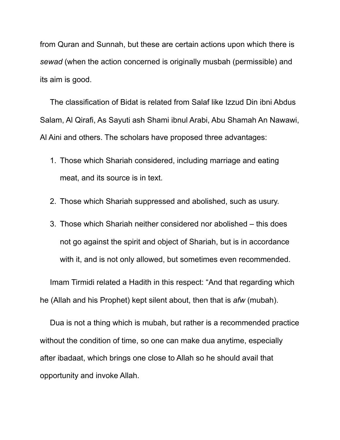from Quran and Sunnah, but these are certain actions upon which there is *sewad* (when the action concerned is originally musbah (permissible) and its aim is good.

The classification of Bidat is related from Salaf like Izzud Din ibni Abdus Salam, Al Qirafi, As Sayuti ash Shami ibnul Arabi, Abu Shamah An Nawawi, Al Aini and others. The scholars have proposed three advantages:

- 1. Those which Shariah considered, including marriage and eating meat, and its source is in text.
- 2. Those which Shariah suppressed and abolished, such as usury.
- 3. Those which Shariah neither considered nor abolished this does not go against the spirit and object of Shariah, but is in accordance with it, and is not only allowed, but sometimes even recommended.

Imam Tirmidi related a Hadith in this respect: "And that regarding which he (Allah and his Prophet) kept silent about, then that is *afw* (mubah).

Dua is not a thing which is mubah, but rather is a recommended practice without the condition of time, so one can make dua anytime, especially after ibadaat, which brings one close to Allah so he should avail that opportunity and invoke Allah.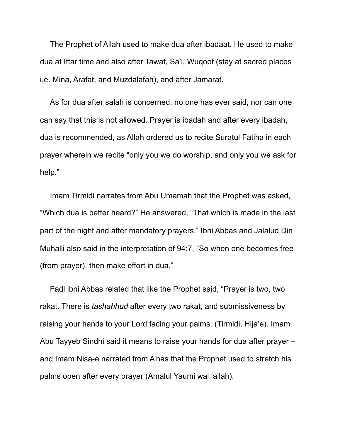The Prophet of Allah used to make dua after ibadaat. He used to make dua at Iftar time and also after Tawaf, Sa'i, Wuqoof (stay at sacred places i.e. Mina, Arafat, and Muzdalafah), and after Jamarat.

As for dua after salah is concerned, no one has ever said, nor can one can say that this is not allowed. Prayer is ibadah and after every ibadah, dua is recommended, as Allah ordered us to recite Suratul Fatiha in each prayer wherein we recite "only you we do worship, and only you we ask for help."

Imam Tirmidi narrates from Abu Umamah that the Prophet was asked, "Which dua is better heard?" He answered, "That which is made in the last part of the night and after mandatory prayers." Ibni Abbas and Jalalud Din Muhalli also said in the interpretation of 94:7, "So when one becomes free (from prayer), then make effort in dua."

Fadl ibni Abbas related that like the Prophet said, "Prayer is two, two rakat. There is *tashahhud* after every two rakat, and submissiveness by raising your hands to your Lord facing your palms. (Tirmidi, Hija'e). Imam Abu Tayyeb Sindhi said it means to raise your hands for dua after prayer – and Imam Nisa-e narrated from A'nas that the Prophet used to stretch his palms open after every prayer (Amalul Yaumi wal lailah).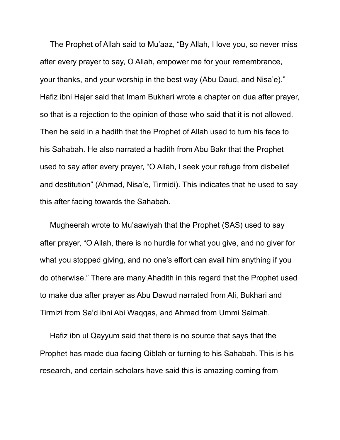The Prophet of Allah said to Mu'aaz, "By Allah, I love you, so never miss after every prayer to say, O Allah, empower me for your remembrance, your thanks, and your worship in the best way (Abu Daud, and Nisa'e)." Hafiz ibni Hajer said that Imam Bukhari wrote a chapter on dua after prayer, so that is a rejection to the opinion of those who said that it is not allowed. Then he said in a hadith that the Prophet of Allah used to turn his face to his Sahabah. He also narrated a hadith from Abu Bakr that the Prophet used to say after every prayer, "O Allah, I seek your refuge from disbelief and destitution" (Ahmad, Nisa'e, Tirmidi). This indicates that he used to say this after facing towards the Sahabah.

Mugheerah wrote to Mu'aawiyah that the Prophet (SAS) used to say after prayer, "O Allah, there is no hurdle for what you give, and no giver for what you stopped giving, and no one's effort can avail him anything if you do otherwise." There are many Ahadith in this regard that the Prophet used to make dua after prayer as Abu Dawud narrated from Ali, Bukhari and Tirmizi from Sa'd ibni Abi Waqqas, and Ahmad from Ummi Salmah.

Hafiz ibn ul Qayyum said that there is no source that says that the Prophet has made dua facing Qiblah or turning to his Sahabah. This is his research, and certain scholars have said this is amazing coming from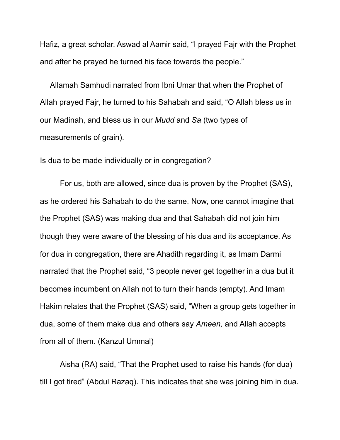Hafiz, a great scholar. Aswad al Aamir said, "I prayed Fajr with the Prophet and after he prayed he turned his face towards the people."

Allamah Samhudi narrated from Ibni Umar that when the Prophet of Allah prayed Fajr, he turned to his Sahabah and said, "O Allah bless us in our Madinah, and bless us in our *Mudd* and *Sa* (two types of measurements of grain).

Is dua to be made individually or in congregation?

For us, both are allowed, since dua is proven by the Prophet (SAS), as he ordered his Sahabah to do the same. Now, one cannot imagine that the Prophet (SAS) was making dua and that Sahabah did not join him though they were aware of the blessing of his dua and its acceptance. As for dua in congregation, there are Ahadith regarding it, as Imam Darmi narrated that the Prophet said, "3 people never get together in a dua but it becomes incumbent on Allah not to turn their hands (empty). And Imam Hakim relates that the Prophet (SAS) said, "When a group gets together in dua, some of them make dua and others say *Ameen,* and Allah accepts from all of them. (Kanzul Ummal)

Aisha (RA) said, "That the Prophet used to raise his hands (for dua) till I got tired" (Abdul Razaq). This indicates that she was joining him in dua.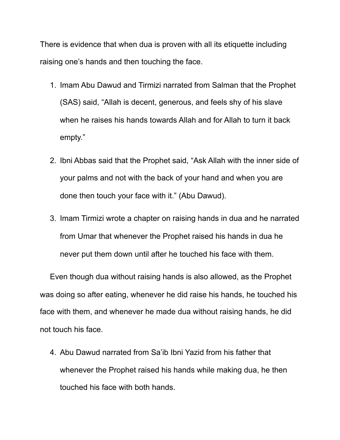There is evidence that when dua is proven with all its etiquette including raising one's hands and then touching the face.

- 1. Imam Abu Dawud and Tirmizi narrated from Salman that the Prophet (SAS) said, "Allah is decent, generous, and feels shy of his slave when he raises his hands towards Allah and for Allah to turn it back empty."
- 2. Ibni Abbas said that the Prophet said, "Ask Allah with the inner side of your palms and not with the back of your hand and when you are done then touch your face with it." (Abu Dawud).
- 3. Imam Tirmizi wrote a chapter on raising hands in dua and he narrated from Umar that whenever the Prophet raised his hands in dua he never put them down until after he touched his face with them.

Even though dua without raising hands is also allowed, as the Prophet was doing so after eating, whenever he did raise his hands, he touched his face with them, and whenever he made dua without raising hands, he did not touch his face.

4. Abu Dawud narrated from Sa'ib Ibni Yazid from his father that whenever the Prophet raised his hands while making dua, he then touched his face with both hands.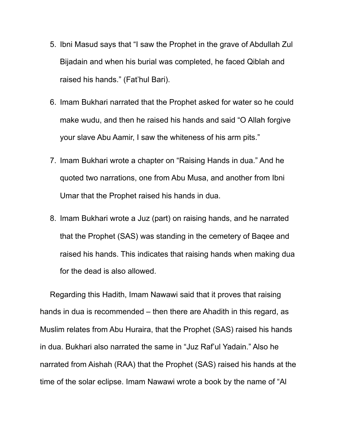- 5. Ibni Masud says that "I saw the Prophet in the grave of Abdullah Zul Bijadain and when his burial was completed, he faced Qiblah and raised his hands." (Fat'hul Bari).
- 6. Imam Bukhari narrated that the Prophet asked for water so he could make wudu, and then he raised his hands and said "O Allah forgive your slave Abu Aamir, I saw the whiteness of his arm pits."
- 7. Imam Bukhari wrote a chapter on "Raising Hands in dua." And he quoted two narrations, one from Abu Musa, and another from Ibni Umar that the Prophet raised his hands in dua.
- 8. Imam Bukhari wrote a Juz (part) on raising hands, and he narrated that the Prophet (SAS) was standing in the cemetery of Baqee and raised his hands. This indicates that raising hands when making dua for the dead is also allowed.

Regarding this Hadith, Imam Nawawi said that it proves that raising hands in dua is recommended – then there are Ahadith in this regard, as Muslim relates from Abu Huraira, that the Prophet (SAS) raised his hands in dua. Bukhari also narrated the same in "Juz Raf'ul Yadain." Also he narrated from Aishah (RAA) that the Prophet (SAS) raised his hands at the time of the solar eclipse. Imam Nawawi wrote a book by the name of "Al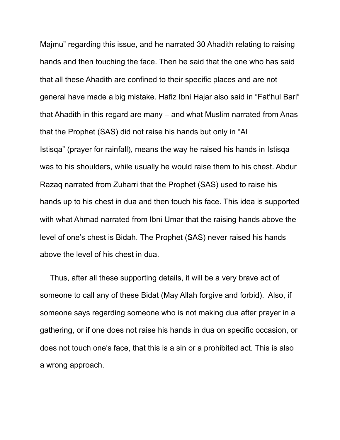Majmu" regarding this issue, and he narrated 30 Ahadith relating to raising hands and then touching the face. Then he said that the one who has said that all these Ahadith are confined to their specific places and are not general have made a big mistake. Hafiz Ibni Hajar also said in "Fat'hul Bari" that Ahadith in this regard are many – and what Muslim narrated from Anas that the Prophet (SAS) did not raise his hands but only in "Al Istisqa" (prayer for rainfall), means the way he raised his hands in Istisqa was to his shoulders, while usually he would raise them to his chest. Abdur Razaq narrated from Zuharri that the Prophet (SAS) used to raise his hands up to his chest in dua and then touch his face. This idea is supported with what Ahmad narrated from Ibni Umar that the raising hands above the level of one's chest is Bidah. The Prophet (SAS) never raised his hands above the level of his chest in dua.

Thus, after all these supporting details, it will be a very brave act of someone to call any of these Bidat (May Allah forgive and forbid). Also, if someone says regarding someone who is not making dua after prayer in a gathering, or if one does not raise his hands in dua on specific occasion, or does not touch one's face, that this is a sin or a prohibited act. This is also a wrong approach.